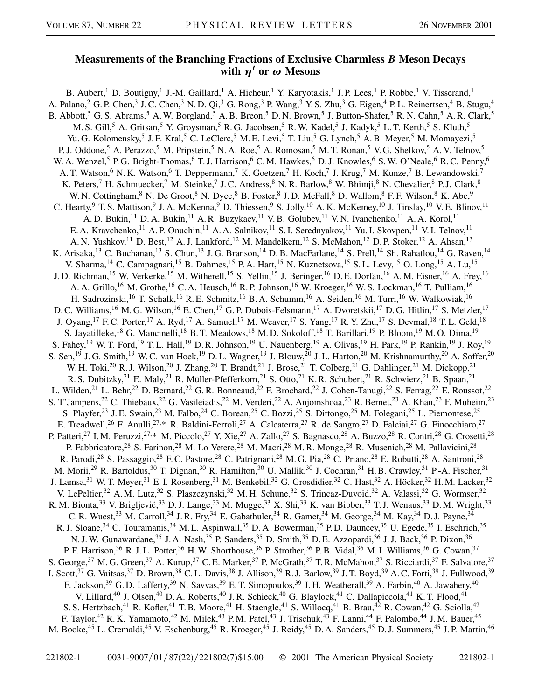## **Measurements of the Branching Fractions of Exclusive Charmless** *B* **Meson Decays** with  $\eta'$  or  $\omega$  Mesons

B. Aubert,<sup>1</sup> D. Boutigny,<sup>1</sup> J.-M. Gaillard,<sup>1</sup> A. Hicheur,<sup>1</sup> Y. Karyotakis,<sup>1</sup> J.P. Lees,<sup>1</sup> P. Robbe,<sup>1</sup> V. Tisserand,<sup>1</sup> A. Palano,  $^2$  G. P. Chen,  $^3$  J. C. Chen,  $^3$  N. D. Qi,  $^3$  G. Rong,  $^3$  P. Wang,  $^3$  Y. S. Zhu,  $^3$  G. Eigen,  $^4$  P. L. Reinertsen,  $^4$  B. Stugu,  $^4$ B. Abbott,<sup>5</sup> G. S. Abrams,<sup>5</sup> A. W. Borgland,<sup>5</sup> A. B. Breon,<sup>5</sup> D. N. Brown,<sup>5</sup> J. Button-Shafer,<sup>5</sup> R. N. Cahn,<sup>5</sup> A. R. Clark,<sup>5</sup> M. S. Gill,<sup>5</sup> A. Gritsan,<sup>5</sup> Y. Groysman,<sup>5</sup> R. G. Jacobsen,<sup>5</sup> R. W. Kadel,<sup>5</sup> J. Kadyk,<sup>5</sup> L. T. Kerth,<sup>5</sup> S. Kluth,<sup>5</sup> Yu. G. Kolomensky,<sup>5</sup> J. F. Kral,<sup>5</sup> C. LeClerc,<sup>5</sup> M. E. Levi,<sup>5</sup> T. Liu,<sup>5</sup> G. Lynch,<sup>5</sup> A. B. Meyer,<sup>5</sup> M. Momayezi,<sup>5</sup> P. J. Oddone,<sup>5</sup> A. Perazzo,<sup>5</sup> M. Pripstein,<sup>5</sup> N. A. Roe,<sup>5</sup> A. Romosan,<sup>5</sup> M. T. Ronan,<sup>5</sup> V. G. Shelkov,<sup>5</sup> A. V. Telnov,<sup>5</sup> W. A. Wenzel,<sup>5</sup> P. G. Bright-Thomas,<sup>6</sup> T. J. Harrison,<sup>6</sup> C. M. Hawkes,<sup>6</sup> D. J. Knowles,<sup>6</sup> S. W. O'Neale,<sup>6</sup> R. C. Penny,<sup>6</sup> A. T. Watson,<sup>6</sup> N. K. Watson,<sup>6</sup> T. Deppermann,<sup>7</sup> K. Goetzen,<sup>7</sup> H. Koch,<sup>7</sup> J. Krug,<sup>7</sup> M. Kunze,<sup>7</sup> B. Lewandowski,<sup>7</sup> K. Peters,<sup>7</sup> H. Schmuecker,<sup>7</sup> M. Steinke,<sup>7</sup> J. C. Andress,<sup>8</sup> N. R. Barlow,<sup>8</sup> W. Bhimji,<sup>8</sup> N. Chevalier,<sup>8</sup> P. J. Clark,<sup>8</sup> W. N. Cottingham, <sup>8</sup> N. De Groot, <sup>8</sup> N. Dyce, <sup>8</sup> B. Foster, <sup>8</sup> J. D. McFall, <sup>8</sup> D. Wallom, <sup>8</sup> F. F. Wilson, <sup>8</sup> K. Abe, <sup>9</sup> C. Hearty, <sup>9</sup> T. S. Mattison, <sup>9</sup> J. A. McKenna, <sup>9</sup> D. Thiessen, <sup>9</sup> S. Jolly, <sup>10</sup> A. K. McKemey, <sup>10</sup> J. Tinslay, <sup>10</sup> V. E. Blinov, <sup>11</sup> A. D. Bukin,<sup>11</sup> D. A. Bukin,<sup>11</sup> A. R. Buzykaev,<sup>11</sup> V. B. Golubev,<sup>11</sup> V. N. Ivanchenko,<sup>11</sup> A. A. Korol,<sup>11</sup> E. A. Kravchenko,<sup>11</sup> A. P. Onuchin,<sup>11</sup> A. A. Salnikov,<sup>11</sup> S. I. Serednyakov,<sup>11</sup> Yu. I. Skovpen,<sup>11</sup> V. I. Telnov,<sup>11</sup> A. N. Yushkov,<sup>11</sup> D. Best,<sup>12</sup> A. J. Lankford,<sup>12</sup> M. Mandelkern,<sup>12</sup> S. McMahon,<sup>12</sup> D. P. Stoker,<sup>12</sup> A. Ahsan,<sup>13</sup> K. Arisaka,<sup>13</sup> C. Buchanan,<sup>13</sup> S. Chun,<sup>13</sup> J. G. Branson,<sup>14</sup> D. B. MacFarlane,<sup>14</sup> S. Prell,<sup>14</sup> Sh. Rahatlou,<sup>14</sup> G. Raven,<sup>14</sup> V. Sharma,<sup>14</sup> C. Campagnari,<sup>15</sup> B. Dahmes,<sup>15</sup> P. A. Hart,<sup>15</sup> N. Kuznetsova,<sup>15</sup> S. L. Levy,<sup>15</sup> O. Long,<sup>15</sup> A. Lu,<sup>15</sup> J. D. Richman,<sup>15</sup> W. Verkerke,<sup>15</sup> M. Witherell,<sup>15</sup> S. Yellin,<sup>15</sup> J. Beringer,<sup>16</sup> D. E. Dorfan,<sup>16</sup> A. M. Eisner,<sup>16</sup> A. Frey,<sup>16</sup> A. A. Grillo,<sup>16</sup> M. Grothe,<sup>16</sup> C. A. Heusch,<sup>16</sup> R. P. Johnson,<sup>16</sup> W. Kroeger,<sup>16</sup> W. S. Lockman,<sup>16</sup> T. Pulliam,<sup>16</sup> H. Sadrozinski,<sup>16</sup> T. Schalk,<sup>16</sup> R. E. Schmitz,<sup>16</sup> B. A. Schumm,<sup>16</sup> A. Seiden,<sup>16</sup> M. Turri,<sup>16</sup> W. Walkowiak,<sup>16</sup> D. C. Williams,<sup>16</sup> M. G. Wilson,<sup>16</sup> E. Chen,<sup>17</sup> G. P. Dubois-Felsmann,<sup>17</sup> A. Dvoretskii,<sup>17</sup> D. G. Hitlin,<sup>17</sup> S. Metzler,<sup>17</sup> J. Oyang,<sup>17</sup> F.C. Porter,<sup>17</sup> A. Ryd,<sup>17</sup> A. Samuel,<sup>17</sup> M. Weaver,<sup>17</sup> S. Yang,<sup>17</sup> R. Y. Zhu,<sup>17</sup> S. Devmal,<sup>18</sup> T. L. Geld,<sup>18</sup> S. Jayatilleke,<sup>18</sup> G. Mancinelli,<sup>18</sup> B. T. Meadows,<sup>18</sup> M. D. Sokoloff,<sup>18</sup> T. Barillari,<sup>19</sup> P. Bloom,<sup>19</sup> M. O. Dima,<sup>19</sup> S. Fahey,<sup>19</sup> W. T. Ford,<sup>19</sup> T. L. Hall,<sup>19</sup> D. R. Johnson,<sup>19</sup> U. Nauenberg,<sup>19</sup> A. Olivas,<sup>19</sup> H. Park,<sup>19</sup> P. Rankin,<sup>19</sup> J. Roy,<sup>19</sup> S. Sen,<sup>19</sup> J. G. Smith,<sup>19</sup> W. C. van Hoek,<sup>19</sup> D. L. Wagner,<sup>19</sup> J. Blouw,<sup>20</sup> J. L. Harton,<sup>20</sup> M. Krishnamurthy,<sup>20</sup> A. Soffer,<sup>20</sup> W. H. Toki,<sup>20</sup> R. J. Wilson,<sup>20</sup> J. Zhang,<sup>20</sup> T. Brandt,<sup>21</sup> J. Brose,<sup>21</sup> T. Colberg,<sup>21</sup> G. Dahlinger,<sup>21</sup> M. Dickopp,<sup>21</sup> R. S. Dubitzky,<sup>21</sup> E. Maly,<sup>21</sup> R. Müller-Pfefferkorn,<sup>21</sup> S. Otto,<sup>21</sup> K. R. Schubert,<sup>21</sup> R. Schwierz,<sup>21</sup> B. Spaan,<sup>21</sup> L. Wilden,<sup>21</sup> L. Behr,<sup>22</sup> D. Bernard,<sup>22</sup> G. R. Bonneaud,<sup>22</sup> F. Brochard,<sup>22</sup> J. Cohen-Tanugi,<sup>22</sup> S. Ferrag,<sup>22</sup> E. Roussot,<sup>22</sup> S. T'Jampens,<sup>22</sup> C. Thiebaux,<sup>22</sup> G. Vasileiadis,<sup>22</sup> M. Verderi,<sup>22</sup> A. Anjomshoaa,<sup>23</sup> R. Bernet,<sup>23</sup> A. Khan,<sup>23</sup> F. Muheim,<sup>23</sup> S. Playfer,<sup>23</sup> J. E. Swain,<sup>23</sup> M. Falbo,<sup>24</sup> C. Borean,<sup>25</sup> C. Bozzi,<sup>25</sup> S. Dittongo,<sup>25</sup> M. Folegani,<sup>25</sup> L. Piemontese,<sup>25</sup> E. Treadwell,<sup>26</sup> F. Anulli,<sup>27,\*</sup> R. Baldini-Ferroli,<sup>27</sup> A. Calcaterra,<sup>27</sup> R. de Sangro,<sup>27</sup> D. Falciai,<sup>27</sup> G. Finocchiaro,<sup>27</sup> P. Patteri,<sup>27</sup> I. M. Peruzzi,<sup>27,\*</sup> M. Piccolo,<sup>27</sup> Y. Xie,<sup>27</sup> A. Zallo,<sup>27</sup> S. Bagnasco,<sup>28</sup> A. Buzzo,<sup>28</sup> R. Contri,<sup>28</sup> G. Crosetti,<sup>28</sup> P. Fabbricatore,<sup>28</sup> S. Farinon,<sup>28</sup> M. Lo Vetere,<sup>28</sup> M. Macri,<sup>28</sup> M. R. Monge,<sup>28</sup> R. Musenich,<sup>28</sup> M. Pallavicini,<sup>28</sup> R. Parodi,<sup>28</sup> S. Passaggio,<sup>28</sup> F. C. Pastore,<sup>28</sup> C. Patrignani,<sup>28</sup> M. G. Pia,<sup>28</sup> C. Priano,<sup>28</sup> E. Robutti,<sup>28</sup> A. Santroni,<sup>28</sup> M. Morii,<sup>29</sup> R. Bartoldus,<sup>30</sup> T. Dignan,<sup>30</sup> R. Hamilton,<sup>30</sup> U. Mallik,<sup>30</sup> J. Cochran,<sup>31</sup> H.B. Crawley,<sup>31</sup> P.-A. Fischer,<sup>31</sup> J. Lamsa,<sup>31</sup> W. T. Meyer,<sup>31</sup> E. I. Rosenberg,<sup>31</sup> M. Benkebil,<sup>32</sup> G. Grosdidier,<sup>32</sup> C. Hast,<sup>32</sup> A. Höcker,<sup>32</sup> H. M. Lacker,<sup>32</sup> V. LePeltier,<sup>32</sup> A. M. Lutz,<sup>32</sup> S. Plaszczynski,<sup>32</sup> M. H. Schune,<sup>32</sup> S. Trincaz-Duvoid,<sup>32</sup> A. Valassi,<sup>32</sup> G. Wormser,<sup>32</sup> R. M. Bionta,<sup>33</sup> V. Brigljević,<sup>33</sup> D. J. Lange,<sup>33</sup> M. Mugge,<sup>33</sup> X. Shi,<sup>33</sup> K. van Bibber,<sup>33</sup> T. J. Wenaus,<sup>33</sup> D. M. Wright,<sup>33</sup> C. R. Wuest,<sup>33</sup> M. Carroll,<sup>34</sup> J. R. Fry,<sup>34</sup> E. Gabathuler,<sup>34</sup> R. Gamet,<sup>34</sup> M. George,<sup>34</sup> M. Kay,<sup>34</sup> D. J. Payne,<sup>34</sup> R. J. Sloane,<sup>34</sup> C. Touramanis,<sup>34</sup> M. L. Aspinwall,<sup>35</sup> D. A. Bowerman,<sup>35</sup> P. D. Dauncey,<sup>35</sup> U. Egede,<sup>35</sup> I. Eschrich,<sup>35</sup> N. J. W. Gunawardane,<sup>35</sup> J. A. Nash,<sup>35</sup> P. Sanders,<sup>35</sup> D. Smith,<sup>35</sup> D. E. Azzopardi,<sup>36</sup> J. J. Back,<sup>36</sup> P. Dixon,<sup>36</sup> P. F. Harrison,<sup>36</sup> R. J. L. Potter,<sup>36</sup> H. W. Shorthouse,<sup>36</sup> P. Strother,<sup>36</sup> P. B. Vidal,<sup>36</sup> M. I. Williams,<sup>36</sup> G. Cowan,<sup>37</sup> S. George,<sup>37</sup> M. G. Green,<sup>37</sup> A. Kurup,<sup>37</sup> C. E. Marker,<sup>37</sup> P. McGrath,<sup>37</sup> T. R. McMahon,<sup>37</sup> S. Ricciardi,<sup>37</sup> F. Salvatore,<sup>37</sup> I. Scott,<sup>37</sup> G. Vaitsas,<sup>37</sup> D. Brown,<sup>38</sup> C.L. Davis,<sup>38</sup> J. Allison,<sup>39</sup> R.J. Barlow,<sup>39</sup> J.T. Boyd,<sup>39</sup> A.C. Forti,<sup>39</sup> J. Fullwood,<sup>39</sup> F. Jackson,<sup>39</sup> G. D. Lafferty,<sup>39</sup> N. Savvas,<sup>39</sup> E. T. Simopoulos,<sup>39</sup> J. H. Weatherall,<sup>39</sup> A. Farbin,<sup>40</sup> A. Jawahery,<sup>40</sup> V. Lillard,<sup>40</sup> J. Olsen,<sup>40</sup> D. A. Roberts,<sup>40</sup> J. R. Schieck,<sup>40</sup> G. Blaylock,<sup>41</sup> C. Dallapiccola,<sup>41</sup> K. T. Flood,<sup>41</sup> S. S. Hertzbach,<sup>41</sup> R. Kofler,<sup>41</sup> T. B. Moore,<sup>41</sup> H. Staengle,<sup>41</sup> S. Willocq,<sup>41</sup> B. Brau,<sup>42</sup> R. Cowan,<sup>42</sup> G. Sciolla,<sup>42</sup> F. Taylor,<sup>42</sup> R. K. Yamamoto,<sup>42</sup> M. Milek,<sup>43</sup> P. M. Patel,<sup>43</sup> J. Trischuk,<sup>43</sup> F. Lanni,<sup>44</sup> F. Palombo,<sup>44</sup> J. M. Bauer,<sup>45</sup> M. Booke,<sup>45</sup> L. Cremaldi,<sup>45</sup> V. Eschenburg,<sup>45</sup> R. Kroeger,<sup>45</sup> J. Reidy,<sup>45</sup> D. A. Sanders,<sup>45</sup> D. J. Summers,<sup>45</sup> J. P. Martin,<sup>46</sup>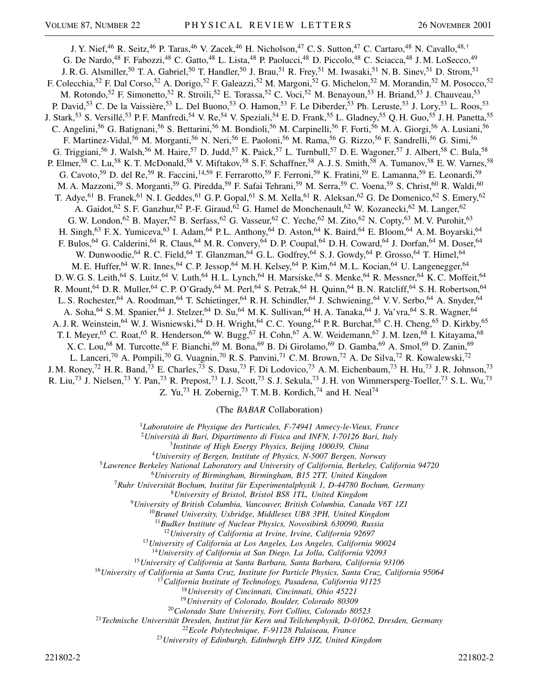J. Y. Nief,<sup>46</sup> R. Seitz,<sup>46</sup> P. Taras,<sup>46</sup> V. Zacek,<sup>46</sup> H. Nicholson,<sup>47</sup> C. S. Sutton,<sup>47</sup> C. Cartaro,<sup>48</sup> N. Cavallo,<sup>48,†</sup> G. De Nardo,<sup>48</sup> F. Fabozzi,<sup>48</sup> C. Gatto,<sup>48</sup> L. Lista,<sup>48</sup> P. Paolucci,<sup>48</sup> D. Piccolo,<sup>48</sup> C. Sciacca,<sup>48</sup> J. M. LoSecco,<sup>49</sup> J. R. G. Alsmiller,<sup>50</sup> T. A. Gabriel,<sup>50</sup> T. Handler,<sup>50</sup> J. Brau,<sup>51</sup> R. Frey,<sup>51</sup> M. Iwasaki,<sup>51</sup> N. B. Sinev,<sup>51</sup> D. Strom,<sup>51</sup> F. Colecchia,<sup>52</sup> F. Dal Corso,<sup>52</sup> A. Dorigo,<sup>52</sup> F. Galeazzi,<sup>52</sup> M. Margoni,<sup>52</sup> G. Michelon,<sup>52</sup> M. Morandin,<sup>52</sup> M. Posocco,<sup>52</sup> M. Rotondo,<sup>52</sup> F. Simonetto,<sup>52</sup> R. Stroili,<sup>52</sup> E. Torassa,<sup>52</sup> C. Voci,<sup>52</sup> M. Benayoun,<sup>53</sup> H. Briand,<sup>53</sup> J. Chauveau,<sup>53</sup> P. David,<sup>53</sup> C. De la Vaissière,<sup>53</sup> L. Del Buono,<sup>53</sup> O. Hamon,<sup>53</sup> F. Le Diberder,<sup>53</sup> Ph. Leruste,<sup>53</sup> J. Lory,<sup>53</sup> L. Roos,<sup>53</sup> J. Stark,<sup>53</sup> S. Versillé,<sup>53</sup> P. F. Manfredi,<sup>54</sup> V. Re,<sup>54</sup> V. Speziali,<sup>54</sup> E. D. Frank,<sup>55</sup> L. Gladney,<sup>55</sup> Q. H. Guo,<sup>55</sup> J. H. Panetta,<sup>55</sup> C. Angelini,<sup>56</sup> G. Batignani,<sup>56</sup> S. Bettarini,<sup>56</sup> M. Bondioli,<sup>56</sup> M. Carpinelli,<sup>56</sup> F. Forti,<sup>56</sup> M. A. Giorgi,<sup>56</sup> A. Lusiani,<sup>56</sup> F. Martinez-Vidal,<sup>56</sup> M. Morganti,<sup>56</sup> N. Neri,<sup>56</sup> E. Paoloni,<sup>56</sup> M. Rama,<sup>56</sup> G. Rizzo,<sup>56</sup> F. Sandrelli,<sup>56</sup> G. Simi,<sup>56</sup> G. Triggiani,<sup>56</sup> J. Walsh,<sup>56</sup> M. Haire,<sup>57</sup> D. Judd,<sup>57</sup> K. Paick,<sup>57</sup> L. Turnbull,<sup>57</sup> D. E. Wagoner,<sup>57</sup> J. Albert,<sup>58</sup> C. Bula,<sup>58</sup> P. Elmer,<sup>58</sup> C. Lu,<sup>58</sup> K. T. McDonald,<sup>58</sup> V. Miftakov,<sup>58</sup> S. F. Schaffner,<sup>58</sup> A. J. S. Smith,<sup>58</sup> A. Tumanov,<sup>58</sup> E. W. Varnes,<sup>58</sup> G. Cavoto,<sup>59</sup> D. del Re,<sup>59</sup> R. Faccini,<sup>14,59</sup> F. Ferrarotto,<sup>59</sup> F. Ferroni,<sup>59</sup> K. Fratini,<sup>59</sup> E. Lamanna,<sup>59</sup> E. Leonardi,<sup>59</sup> M. A. Mazzoni,<sup>59</sup> S. Morganti,<sup>59</sup> G. Piredda,<sup>59</sup> F. Safai Tehrani,<sup>59</sup> M. Serra,<sup>59</sup> C. Voena,<sup>59</sup> S. Christ,<sup>60</sup> R. Waldi,<sup>60</sup> T. Adye,<sup>61</sup> B. Franek,<sup>61</sup> N. I. Geddes,<sup>61</sup> G. P. Gopal,<sup>61</sup> S. M. Xella,<sup>61</sup> R. Aleksan,<sup>62</sup> G. De Domenico,<sup>62</sup> S. Emery,<sup>62</sup> A. Gaidot,<sup>62</sup> S. F. Ganzhur,<sup>62</sup> P.-F. Giraud,<sup>62</sup> G. Hamel de Monchenault,<sup>62</sup> W. Kozanecki,<sup>62</sup> M. Langer,<sup>62</sup> G. W. London,<sup>62</sup> B. Mayer,<sup>62</sup> B. Serfass,<sup>62</sup> G. Vasseur,<sup>62</sup> C. Yeche,<sup>62</sup> M. Zito,<sup>62</sup> N. Copty,<sup>63</sup> M. V. Purohit,<sup>63</sup> H. Singh,<sup>63</sup> F. X. Yumiceva,<sup>63</sup> I. Adam,<sup>64</sup> P. L. Anthony,<sup>64</sup> D. Aston,<sup>64</sup> K. Baird,<sup>64</sup> E. Bloom,<sup>64</sup> A. M. Boyarski,<sup>64</sup> F. Bulos,  $^{64}$  G. Calderini,  $^{64}$  R. Claus,  $^{64}$  M. R. Convery,  $^{64}$  D. P. Coupal,  $^{64}$  D. H. Coward,  $^{64}$  J. Dorfan,  $^{64}$  M. Doser,  $^{64}$ W. Dunwoodie, <sup>64</sup> R. C. Field, <sup>64</sup> T. Glanzman, <sup>64</sup> G. L. Godfrey, <sup>64</sup> S. J. Gowdy, <sup>64</sup> P. Grosso, <sup>64</sup> T. Himel, <sup>64</sup> M. E. Huffer,<sup>64</sup> W. R. Innes,<sup>64</sup> C. P. Jessop,<sup>64</sup> M. H. Kelsey,<sup>64</sup> P. Kim,<sup>64</sup> M. L. Kocian,<sup>64</sup> U. Langenegger,<sup>64</sup> D. W. G. S. Leith,<sup>64</sup> S. Luitz,<sup>64</sup> V. Luth,<sup>64</sup> H. L. Lynch,<sup>64</sup> H. Marsiske,<sup>64</sup> S. Menke,<sup>64</sup> R. Messner,<sup>64</sup> K. C. Moffeit,<sup>64</sup> R. Mount,<sup>64</sup> D. R. Muller,<sup>64</sup> C. P. O'Grady,<sup>64</sup> M. Perl,<sup>64</sup> S. Petrak,<sup>64</sup> H. Quinn,<sup>64</sup> B. N. Ratcliff,<sup>64</sup> S. H. Robertson,<sup>64</sup> L. S. Rochester,<sup>64</sup> A. Roodman,<sup>64</sup> T. Schietinger,<sup>64</sup> R. H. Schindler,<sup>64</sup> J. Schwiening,<sup>64</sup> V. V. Serbo,<sup>64</sup> A. Snyder,<sup>64</sup> A. Soha, <sup>64</sup> S. M. Spanier, <sup>64</sup> J. Stelzer, <sup>64</sup> D. Su, <sup>64</sup> M. K. Sullivan, <sup>64</sup> H. A. Tanaka, <sup>64</sup> J. Va'vra, <sup>64</sup> S. R. Wagner, <sup>64</sup> A. J. R. Weinstein,<sup>64</sup> W. J. Wisniewski,<sup>64</sup> D. H. Wright,<sup>64</sup> C. C. Young,<sup>64</sup> P. R. Burchat,<sup>65</sup> C. H. Cheng,<sup>65</sup> D. Kirkby,<sup>65</sup> T. I. Meyer,<sup>65</sup> C. Roat,<sup>65</sup> R. Henderson,<sup>66</sup> W. Bugg,<sup>67</sup> H. Cohn,<sup>67</sup> A. W. Weidemann,<sup>67</sup> J. M. Izen,<sup>68</sup> I. Kitayama,<sup>68</sup> X. C. Lou,<sup>68</sup> M. Turcotte,<sup>68</sup> F. Bianchi,<sup>69</sup> M. Bona,<sup>69</sup> B. Di Girolamo,<sup>69</sup> D. Gamba,<sup>69</sup> A. Smol,<sup>69</sup> D. Zanin,<sup>69</sup> L. Lanceri,<sup>70</sup> A. Pompili,<sup>70</sup> G. Vuagnin,<sup>70</sup> R. S. Panvini,<sup>71</sup> C. M. Brown,<sup>72</sup> A. De Silva,<sup>72</sup> R. Kowalewski,<sup>72</sup> J. M. Roney,<sup>72</sup> H. R. Band,<sup>73</sup> E. Charles,<sup>73</sup> S. Dasu,<sup>73</sup> F. Di Lodovico,<sup>73</sup> A. M. Eichenbaum,<sup>73</sup> H. Hu,<sup>73</sup> J. R. Johnson,<sup>73</sup> R. Liu,<sup>73</sup> J. Nielsen,<sup>73</sup> Y. Pan,<sup>73</sup> R. Prepost,<sup>73</sup> I. J. Scott,<sup>73</sup> S. J. Sekula,<sup>73</sup> J. H. von Wimmersperg-Toeller,<sup>73</sup> S. L. Wu,<sup>73</sup> Z. Yu,<sup>73</sup> H. Zobernig,<sup>73</sup> T.M.B. Kordich,<sup>74</sup> and H. Neal<sup>74</sup>

(The *BABAR* Collaboration)

<sup>1</sup>*Laboratoire de Physique des Particules, F-74941 Annecy-le-Vieux, France*

<sup>2</sup>*Università di Bari, Dipartimento di Fisica and INFN, I-70126 Bari, Italy*

<sup>3</sup>*Institute of High Energy Physics, Beijing 100039, China*

<sup>4</sup>*University of Bergen, Institute of Physics, N-5007 Bergen, Norway*

<sup>5</sup>*Lawrence Berkeley National Laboratory and University of California, Berkeley, California 94720*

<sup>6</sup>*University of Birmingham, Birmingham, B15 2TT, United Kingdom*

<sup>7</sup>*Ruhr Universität Bochum, Institut für Experimentalphysik 1, D-44780 Bochum, Germany*

<sup>8</sup>*University of Bristol, Bristol BS8 1TL, United Kingdom*

<sup>9</sup>*University of British Columbia, Vancouver, British Columbia, Canada V6T 1Z1*

<sup>10</sup>*Brunel University, Uxbridge, Middlesex UB8 3PH, United Kingdom*

<sup>11</sup>*Budker Institute of Nuclear Physics, Novosibirsk 630090, Russia*

<sup>12</sup>*University of California at Irvine, Irvine, California 92697*

<sup>13</sup>*University of California at Los Angeles, Los Angeles, California 90024*

<sup>14</sup>*University of California at San Diego, La Jolla, California 92093*

<sup>15</sup>*University of California at Santa Barbara, Santa Barbara, California 93106*

<sup>16</sup>*University of California at Santa Cruz, Institute for Particle Physics, Santa Cruz, California 95064*

<sup>17</sup>*California Institute of Technology, Pasadena, California 91125*

<sup>18</sup>*University of Cincinnati, Cincinnati, Ohio 45221*

<sup>19</sup>*University of Colorado, Boulder, Colorado 80309*

<sup>20</sup>*Colorado State University, Fort Collins, Colorado 80523*

<sup>21</sup>*Technische Universität Dresden, Institut für Kern und Teilchenphysik, D-01062, Dresden, Germany*

<sup>22</sup>*Ecole Polytechnique, F-91128 Palaiseau, France*

<sup>23</sup>*University of Edinburgh, Edinburgh EH9 3JZ, United Kingdom*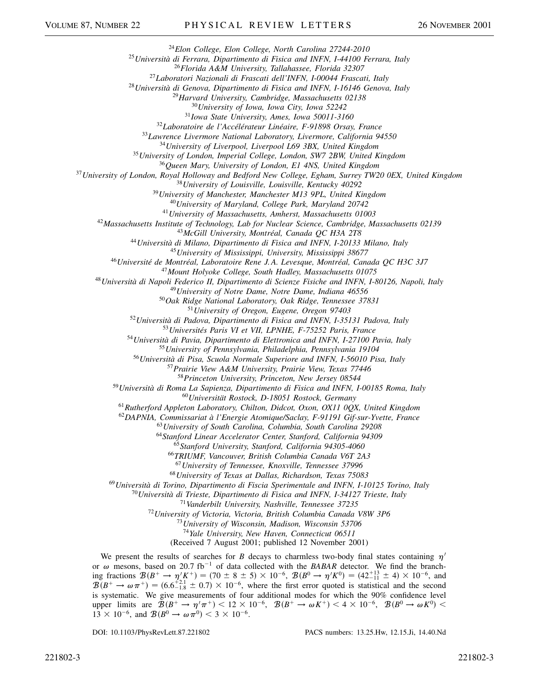*Elon College, Elon College, North Carolina 27244-2010*

*Università di Ferrara, Dipartimento di Fisica and INFN, I-44100 Ferrara, Italy*

*Florida A&M University, Tallahassee, Florida 32307*

*Laboratori Nazionali di Frascati dell'INFN, I-00044 Frascati, Italy*

*Università di Genova, Dipartimento di Fisica and INFN, I-16146 Genova, Italy*

*Harvard University, Cambridge, Massachusetts 02138*

*University of Iowa, Iowa City, Iowa 52242*

*Iowa State University, Ames, Iowa 50011-3160*

*Laboratoire de l'Accélérateur Linéaire, F-91898 Orsay, France*

*Lawrence Livermore National Laboratory, Livermore, California 94550*

*University of Liverpool, Liverpool L69 3BX, United Kingdom*

*University of London, Imperial College, London, SW7 2BW, United Kingdom*

*Queen Mary, University of London, E1 4NS, United Kingdom*

*University of London, Royal Holloway and Bedford New College, Egham, Surrey TW20 0EX, United Kingdom*

*University of Louisville, Louisville, Kentucky 40292*

*University of Manchester, Manchester M13 9PL, United Kingdom*

*University of Maryland, College Park, Maryland 20742*

*University of Massachusetts, Amherst, Massachusetts 01003*

*Massachusetts Institute of Technology, Lab for Nuclear Science, Cambridge, Massachusetts 02139*

*McGill University, Montréal, Canada QC H3A 2T8*

*Università di Milano, Dipartimento di Fisica and INFN, I-20133 Milano, Italy*

*University of Mississippi, University, Mississippi 38677*

*Université de Montréal, Laboratoire Rene J. A. Levesque, Montréal, Canada QC H3C 3J7*

*Mount Holyoke College, South Hadley, Massachusetts 01075*

*Università di Napoli Federico II, Dipartimento di Scienze Fisiche and INFN, I-80126, Napoli, Italy*

*University of Notre Dame, Notre Dame, Indiana 46556*

*Oak Ridge National Laboratory, Oak Ridge, Tennessee 37831*

*University of Oregon, Eugene, Oregon 97403*

*Università di Padova, Dipartimento di Fisica and INFN, I-35131 Padova, Italy*

*Universités Paris VI et VII, LPNHE, F-75252 Paris, France*

*Università di Pavia, Dipartimento di Elettronica and INFN, I-27100 Pavia, Italy*

*University of Pennsylvania, Philadelphia, Pennsylvania 19104*

*Università di Pisa, Scuola Normale Superiore and INFN, I-56010 Pisa, Italy*

*Prairie View A&M University, Prairie View, Texas 77446*

*Princeton University, Princeton, New Jersey 08544*

*Università di Roma La Sapienza, Dipartimento di Fisica and INFN, I-00185 Roma, Italy*

*Universität Rostock, D-18051 Rostock, Germany*

*Rutherford Appleton Laboratory, Chilton, Didcot, Oxon, OX11 0QX, United Kingdom*

*DAPNIA, Commissariat à l'Energie Atomique/Saclay, F-91191 Gif-sur-Yvette, France*

*University of South Carolina, Columbia, South Carolina 29208*

*Stanford Linear Accelerator Center, Stanford, California 94309*

*Stanford University, Stanford, California 94305-4060*

*TRIUMF, Vancouver, British Columbia Canada V6T 2A3*

*University of Tennessee, Knoxville, Tennessee 37996*

*University of Texas at Dallas, Richardson, Texas 75083*

*Università di Torino, Dipartimento di Fiscia Sperimentale and INFN, I-10125 Torino, Italy*

*Università di Trieste, Dipartimento di Fisica and INFN, I-34127 Trieste, Italy*

*Vanderbilt University, Nashville, Tennessee 37235*

*University of Victoria, Victoria, British Columbia Canada V8W 3P6*

*University of Wisconsin, Madison, Wisconsin 53706*

*Yale University, New Haven, Connecticut 06511*

(Received 7 August 2001; published 12 November 2001)

We present the results of searches for *B* decays to charmless two-body final states containing  $\eta'$ or  $\omega$  mesons, based on 20.7 fb<sup>-1</sup> of data collected with the *BABAR* detector. We find the branching fractions  $\mathcal{B}(B^+ \to \eta' K^+) = (70 \pm 8 \pm 5) \times 10^{-6}$ ,  $\mathcal{B}(B^0 \to \eta' K^0) = (42^{+13}_{-11} \pm 4) \times 10^{-6}$ , and  $\mathcal{B}(B^+ \to \omega \pi^+) = (6.6^{+2.1}_{-1.8} \pm 0.7) \times 10^{-6}$ , where the first error quoted is statistical and the second is systematic. We give measurements of four additional modes for which the 90% confidence level upper limits are  $B(B^+ \to \eta' \pi^+)$  <  $12 \times 10^{-6}$ ,  $B(B^+ \to \omega K^+)$  <  $4 \times 10^{-6}$ ,  $B(B^0 \to \omega K^0)$  <  $13 \times 10^{-6}$ , and  $\mathcal{B}(B^0 \to \omega \pi^0) < 3 \times 10^{-6}$ .

DOI: 10.1103/PhysRevLett.87.221802 PACS numbers: 13.25.Hw, 12.15.Ji, 14.40.Nd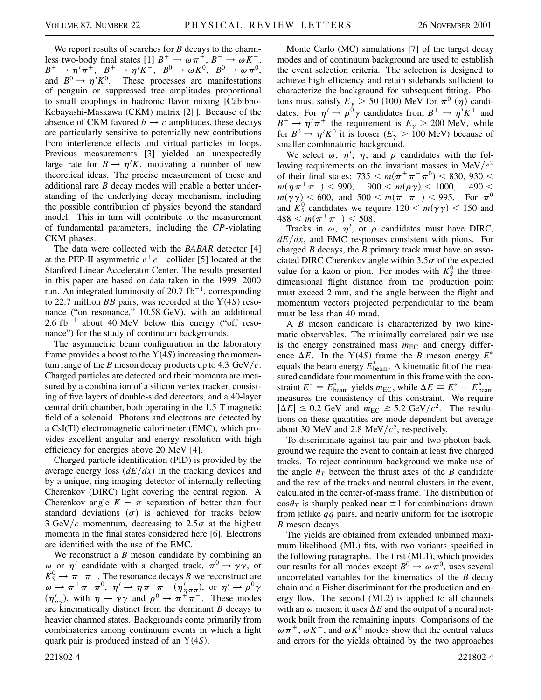We report results of searches for *B* decays to the charmless two-body final states [1]  $B^+ \to \omega \pi^+, B^+ \to \omega K^+,$  $B^+ \rightarrow \eta^{\prime} \pi^+$ ,  $B^+ \rightarrow \eta^{\prime} K^+$ ,  $B^0 \rightarrow \omega K^0$ ,  $B^0 \rightarrow \omega \pi^0$ , and  $B^0 \to \eta/K^0$ . These processes are manifestations of penguin or suppressed tree amplitudes proportional to small couplings in hadronic flavor mixing [Cabibbo-Kobayashi-Maskawa (CKM) matrix [2] ]. Because of the absence of CKM favored  $b \rightarrow c$  amplitudes, these decays are particularly sensitive to potentially new contributions from interference effects and virtual particles in loops. Previous measurements [3] yielded an unexpectedly large rate for  $B \to \eta^{t} K$ , motivating a number of new theoretical ideas. The precise measurement of these and additional rare *B* decay modes will enable a better understanding of the underlying decay mechanism, including the possible contribution of physics beyond the standard model. This in turn will contribute to the measurement of fundamental parameters, including the *CP*-violating CKM phases.

The data were collected with the *BABAR* detector [4] at the PEP-II asymmetric  $e^+e^-$  collider [5] located at the Stanford Linear Accelerator Center. The results presented in this paper are based on data taken in the 1999–2000 run. An integrated luminosity of 20.7  $fb^{-1}$ , corresponding to 22.7 million  $B\overline{B}$  pairs, was recorded at the  $Y(4S)$  resonance ("on resonance," 10.58 GeV), with an additional 2.6 fb<sup>-1</sup> about 40 MeV below this energy ("off resonance") for the study of continuum backgrounds.

The asymmetric beam configuration in the laboratory frame provides a boost to the  $Y(4S)$  increasing the momentum range of the *B* meson decay products up to 4.3 GeV/ $c$ . Charged particles are detected and their momenta are measured by a combination of a silicon vertex tracker, consisting of five layers of double-sided detectors, and a 40-layer central drift chamber, both operating in the 1.5 T magnetic field of a solenoid. Photons and electrons are detected by a CsI(Tl) electromagnetic calorimeter (EMC), which provides excellent angular and energy resolution with high efficiency for energies above 20 MeV [4].

Charged particle identification (PID) is provided by the average energy loss  $\left(dE/dx\right)$  in the tracking devices and by a unique, ring imaging detector of internally reflecting Cherenkov (DIRC) light covering the central region. A Cherenkov angle  $K - \pi$  separation of better than four standard deviations  $(\sigma)$  is achieved for tracks below 3 GeV/c momentum, decreasing to  $2.5\sigma$  at the highest momenta in the final states considered here [6]. Electrons are identified with the use of the EMC.

We reconstruct a *B* meson candidate by combining an  $\omega$  or  $\eta'$  candidate with a charged track,  $\pi^0 \rightarrow \gamma \gamma$ , or  $K_S^0 \rightarrow \pi^+ \pi^-$ . The resonance decays *R* we reconstruct are  $\omega \to \pi^+ \pi^- \pi^0$ ,  $\eta' \to \eta \pi^+ \pi^ (\eta'_{\eta \pi \pi})$ , or  $\eta' \to \rho^0 \gamma$  $(\eta'_{\rho\gamma})$ , with  $\eta \to \gamma\gamma$  and  $\rho^0 \to \pi^+\pi^-$ . These modes are kinematically distinct from the dominant *B* decays to heavier charmed states. Backgrounds come primarily from combinatorics among continuum events in which a light quark pair is produced instead of an  $Y(4S)$ .

Monte Carlo (MC) simulations [7] of the target decay modes and of continuum background are used to establish the event selection criteria. The selection is designed to achieve high efficiency and retain sidebands sufficient to characterize the background for subsequent fitting. Photons must satisfy  $E_{\gamma} > 50$  (100) MeV for  $\pi^{0}(\eta)$  candidates. For  $\eta' \to \rho^0 \gamma$  candidates from  $B^+ \to \eta' K^+$  and  $B^+ \to \eta' \pi^+$  the requirement is  $E_\gamma > 200$  MeV, while for  $B^0 \to \eta' K^0$  it is looser ( $E_{\gamma} > 100$  MeV) because of smaller combinatoric background.

We select  $\omega$ ,  $\eta'$ ,  $\eta$ , and  $\rho$  candidates with the following requirements on the invariant masses in  $MeV/c<sup>2</sup>$ of their final states:  $735 < m(\pi^+\pi^-\pi^0) < 830,930 <$  $m(\eta \pi^+ \pi^-)$  < 990, 900 <  $m(\rho \gamma)$  < 1000, 490 <  $m(\gamma \gamma) < 600$ , and  $500 < m(\pi^+ \pi^-) < 995$ . For  $\pi^0$ and  $K_S^0$  candidates we require  $120 < m(\gamma \gamma) < 150$  and  $488 < m(\pi^+\pi^-) < 508.$ 

Tracks in  $\omega$ ,  $\eta'$ , or  $\rho$  candidates must have DIRC, *dEdx*, and EMC responses consistent with pions. For charged *B* decays, the *B* primary track must have an associated DIRC Cherenkov angle within  $3.5\sigma$  of the expected value for a kaon or pion. For modes with  $K_S^0$  the threedimensional flight distance from the production point must exceed 2 mm, and the angle between the flight and momentum vectors projected perpendicular to the beam must be less than 40 mrad.

A *B* meson candidate is characterized by two kinematic observables. The minimally correlated pair we use is the energy constrained mass  $m_{EC}$  and energy difference  $\Delta E$ . In the Y(4*S*) frame the *B* meson energy  $E^*$ equals the beam energy  $E_{\text{beam}}^*$ . A kinematic fit of the measured candidate four momentum in this frame with the constraint  $E^* = E_{\text{beam}}^*$  yields  $m_{\text{EC}}$ , while  $\Delta E \equiv E^* - E_{\text{beam}}^*$ measures the consistency of this constraint. We require  $|\Delta E| \leq 0.2$  GeV and  $m_{EC} \geq 5.2$  GeV/ $c^2$ . The resolutions on these quantities are mode dependent but average about 30 MeV and 2.8 MeV/ $c<sup>2</sup>$ , respectively.

To discriminate against tau-pair and two-photon background we require the event to contain at least five charged tracks. To reject continuum background we make use of the angle  $\theta_T$  between the thrust axes of the *B* candidate and the rest of the tracks and neutral clusters in the event, calculated in the center-of-mass frame. The distribution of  $\cos\theta_T$  is sharply peaked near  $\pm 1$  for combinations drawn from jetlike  $q\bar{q}$  pairs, and nearly uniform for the isotropic *B* meson decays.

The yields are obtained from extended unbinned maximum likelihood (ML) fits, with two variants specified in the following paragraphs. The first (ML1), which provides our results for all modes except  $B^0 \to \omega \pi^0$ , uses several uncorrelated variables for the kinematics of the *B* decay chain and a Fisher discriminant for the production and energy flow. The second (ML2) is applied to all channels with an  $\omega$  meson; it uses  $\Delta E$  and the output of a neural network built from the remaining inputs. Comparisons of the  $\omega \pi^+$ ,  $\omega K^+$ , and  $\omega K^0$  modes show that the central values and errors for the yields obtained by the two approaches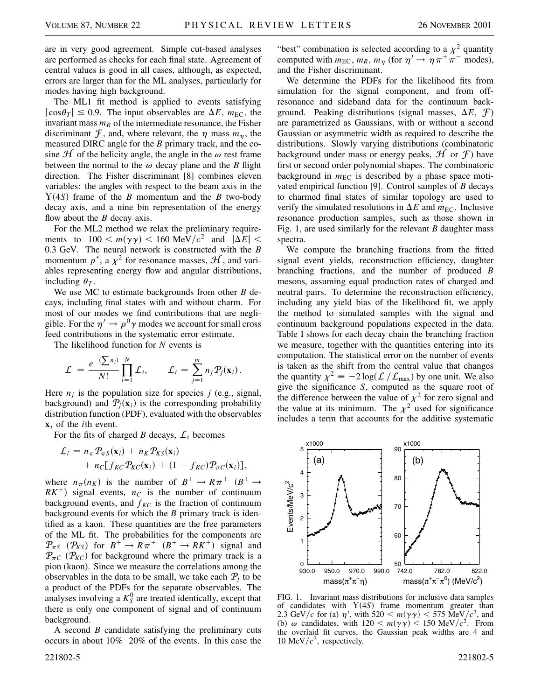are in very good agreement. Simple cut-based analyses are performed as checks for each final state. Agreement of central values is good in all cases, although, as expected, errors are larger than for the ML analyses, particularly for modes having high background.

The ML1 fit method is applied to events satisfying  $|\cos \theta_T| \leq 0.9$ . The input observables are  $\Delta E$ ,  $m_{\text{EC}}$ , the invariant mass  $m_R$  of the intermediate resonance, the Fisher discriminant  $\mathcal F$ , and, where relevant, the  $\eta$  mass  $m_n$ , the measured DIRC angle for the *B* primary track, and the cosine  $\mathcal H$  of the helicity angle, the angle in the  $\omega$  rest frame between the normal to the  $\omega$  decay plane and the *B* flight direction. The Fisher discriminant [8] combines eleven variables: the angles with respect to the beam axis in the  $Y(4S)$  frame of the *B* momentum and the *B* two-body decay axis, and a nine bin representation of the energy flow about the *B* decay axis.

For the ML2 method we relax the preliminary requirements to  $100 \le m(\gamma \gamma) \le 160 \text{ MeV}/c^2$  and  $|\Delta E| \le$ 0.3 GeV. The neural network is constructed with the *B* momentum  $p^*$ , a  $\chi^2$  for resonance masses,  $\mathcal{H}$ , and variables representing energy flow and angular distributions, including  $\theta_T$ .

We use MC to estimate backgrounds from other *B* decays, including final states with and without charm. For most of our modes we find contributions that are negligible. For the  $\eta' \rightarrow \rho^0 \gamma$  modes we account for small cross feed contributions in the systematic error estimate.

The likelihood function for *N* events is

$$
\mathcal{L} = \frac{e^{-(\sum n_j)} N!}{N!} \mathcal{L}_i, \qquad \mathcal{L}_i = \sum_{j=1}^m n_j \mathcal{P}_j(\mathbf{x}_i).
$$

Here  $n_i$  is the population size for species  $j$  (e.g., signal, background) and  $\mathcal{P}_j(\mathbf{x}_i)$  is the corresponding probability distribution function (PDF), evaluated with the observables **x***<sup>i</sup>* of the *i*th event.

For the fits of charged *B* decays,  $\mathcal{L}_i$  becomes

$$
\mathcal{L}_i = n_{\pi} \mathcal{P}_{\pi S}(\mathbf{x}_i) + n_K \mathcal{P}_{KS}(\mathbf{x}_i)
$$
  
+ 
$$
n_C[f_{KC} \mathcal{P}_{KC}(\mathbf{x}_i) + (1 - f_{KC}) \mathcal{P}_{\pi C}(\mathbf{x}_i)],
$$

where  $n_{\pi}(n_K)$  is the number of  $B^+ \to R\pi^+$  ( $B^+ \to$  $RK^+$ ) signal events,  $n_c$  is the number of continuum background events, and  $f_{KC}$  is the fraction of continuum background events for which the *B* primary track is identified as a kaon. These quantities are the free parameters of the ML fit. The probabilities for the components are  $\mathcal{P}_{\pi S}$  ( $\mathcal{P}_{KS}$ ) for  $B^+ \to R\pi^+$  ( $B^+ \to R K^+$ ) signal and  $P_{\pi C}$  ( $P_{KC}$ ) for background where the primary track is a pion (kaon). Since we measure the correlations among the observables in the data to be small, we take each  $P_i$  to be a product of the PDFs for the separate observables. The analyses involving a  $K_S^0$  are treated identically, except that there is only one component of signal and of continuum background.

A second *B* candidate satisfying the preliminary cuts occurs in about  $10\% - 20\%$  of the events. In this case the

221802-5 221802-5

"best" combination is selected according to a  $\chi^2$  quantity computed with  $m_{\text{EC}}$ ,  $m_R$ ,  $m_\eta$  (for  $\eta' \to \eta \pi^+ \pi^-$  modes), and the Fisher discriminant.

We determine the PDFs for the likelihood fits from simulation for the signal component, and from offresonance and sideband data for the continuum background. Peaking distributions (signal masses,  $\Delta E$ ,  $\mathcal{F}$ ) are parametrized as Gaussians, with or without a second Gaussian or asymmetric width as required to describe the distributions. Slowly varying distributions (combinatoric background under mass or energy peaks,  $\mathcal{H}$  or  $\mathcal{F}$ ) have first or second order polynomial shapes. The combinatoric background in  $m_{\text{EC}}$  is described by a phase space motivated empirical function [9]. Control samples of *B* decays to charmed final states of similar topology are used to verify the simulated resolutions in  $\Delta E$  and  $m_{EC}$ . Inclusive resonance production samples, such as those shown in Fig. 1, are used similarly for the relevant *B* daughter mass spectra.

We compute the branching fractions from the fitted signal event yields, reconstruction efficiency, daughter branching fractions, and the number of produced *B* mesons, assuming equal production rates of charged and neutral pairs. To determine the reconstruction efficiency, including any yield bias of the likelihood fit, we apply the method to simulated samples with the signal and continuum background populations expected in the data. Table I shows for each decay chain the branching fraction we measure, together with the quantities entering into its computation. The statistical error on the number of events is taken as the shift from the central value that changes the quantity  $\chi^2 \equiv -2 \log(L/L_{\text{max}})$  by one unit. We also give the significance *S*, computed as the square root of the difference between the value of  $\chi^2$  for zero signal and the value at its minimum. The  $\chi^2$  used for significance includes a term that accounts for the additive systematic



FIG. 1. Invariant mass distributions for inclusive data samples of candidates with  $Y(4S)$  frame momentum greater than 2.3 GeV/c for (a)  $\eta'$ , with 520 <  $m(\gamma \gamma)$  < 575 MeV/c<sup>2</sup>, and (b)  $\omega$  candidates, with  $120 \le m(\gamma \gamma) \le 150 \text{ MeV}/c^2$ . From the overlaid fit curves, the Gaussian peak widths are 4 and 10 MeV $/c^2$ , respectively.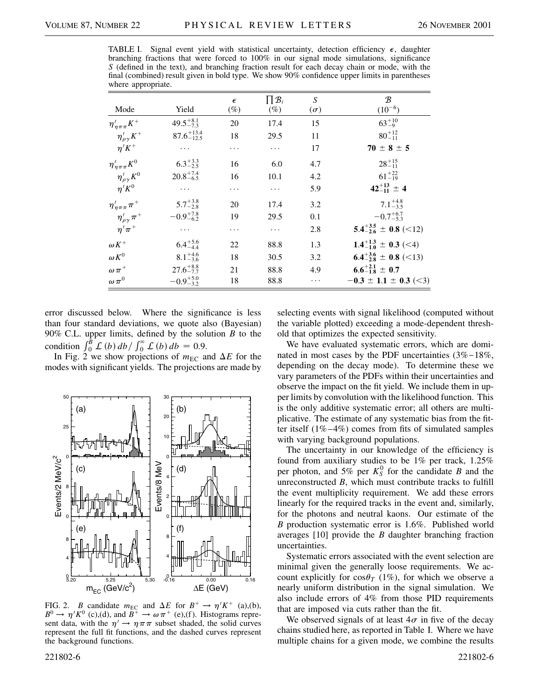TABLE I. Signal event yield with statistical uncertainty, detection efficiency  $\epsilon$ , daughter branching fractions that were forced to 100% in our signal mode simulations, significance *S* (defined in the text), and branching fraction result for each decay chain or mode, with the final (combined) result given in bold type. We show 90% confidence upper limits in parentheses where appropriate.

|                                     |                        | $\epsilon$ | $\prod \mathcal{B}_i$ | S          | $\mathcal{B}$                     |
|-------------------------------------|------------------------|------------|-----------------------|------------|-----------------------------------|
| Mode                                | Yield                  | $(\%)$     | $(\%)$                | $(\sigma)$ | $(10^{-6})$                       |
| $\eta_{\eta\pi\pi}^{\,\prime}K^+$   | $49.5^{+8.1}_{-7.3}$   | 20         | 17.4                  | 15         | $63^{+10}_{-9}$                   |
| $\eta'_{\rho\gamma}K^+$             | $87.6^{+13.4}_{-12.5}$ | 18         | 29.5                  | 11         | $80^{+12}_{-11}$                  |
| $\eta^{\prime} K^+$                 |                        | .          | .                     | 17         | $70 \pm 8 \pm 5$                  |
| $\eta_{\eta\pi\pi}^{\prime} K^0$    | $6.3_{-2.5}^{+3.3}$    | 16         | 6.0                   | 4.7        | $28^{+15}_{-11}$                  |
| $\eta'_{\rho\gamma}K^0$             | $20.8^{+7.4}_{-6.5}$   | 16         | 10.1                  | 4.2        | $61^{+22}_{-19}$                  |
| $\eta^{\prime} K^0$                 |                        | .          | $\cdots$              | 5.9        | $42^{+13}_{-11}$ ± 4              |
| $\eta_{\eta\pi\pi}^{\,\prime}\pi^+$ | $5.7^{+3.8}_{-2.8}$    | 20         | 17.4                  | 3.2        | $7.1_{-3.5}^{+4.8}$               |
| $\eta_{\rho\gamma}^{\prime}\pi^+$   | $-0.9^{+7.8}_{-6.2}$   | 19         | 29.5                  | 0.1        | $-0.7^{+6.7}_{-5.3}$              |
| $\eta^{\,\prime}\pi^{\,+}$          | .                      | .          | .                     | 2.8        | $5.4^{+3.5}_{-2.6} \pm 0.8$ (<12) |
| $\omega K^+$                        | $6.4^{+5.6}_{-4.4}$    | 22         | 88.8                  | 1.3        | $1.4^{+1.3}_{-1.0} \pm 0.3$ (<4)  |
| $\omega K^0$                        | $8.1_{-3.6}^{+4.6}$    | 18         | 30.5                  | 3.2        | $6.4^{+3.6}_{-2.8} \pm 0.8$ (<13) |
| $\omega \pi^+$                      | $27.6^{+8.8}_{-7.7}$   | 21         | 88.8                  | 4.9        | $6.6^{+2.1}_{-1.8} \pm 0.7$       |
| $\omega \pi^0$                      | $-0.9_{-3.2}^{+5.0}$   | 18         | 88.8                  | .          | $-0.3 \pm 1.1 \pm 0.3$ (<3)       |

error discussed below. Where the significance is less than four standard deviations, we quote also (Bayesian) 90% C.L. upper limits, defined by the solution *B* to the condition  $\int_0^B L(b) db / \int_0^{\infty} L(b) db = 0.9$ .

In Fig. 2 we show projections of  $m_{EC}$  and  $\Delta E$  for the modes with significant yields. The projections are made by



FIG. 2. *B* candidate  $m_{EC}$  and  $\Delta E$  for  $B^+ \to \eta^{\prime} K^+$  (a),(b),  $B^0 \to \eta' K^0$  (c),(d), and  $B^+ \to \omega \pi^+$  (e),(f). Histograms represent data, with the  $\eta' \rightarrow \eta \pi \pi$  subset shaded, the solid curves represent the full fit functions, and the dashed curves represent the background functions.

selecting events with signal likelihood (computed without the variable plotted) exceeding a mode-dependent threshold that optimizes the expected sensitivity.

We have evaluated systematic errors, which are dominated in most cases by the PDF uncertainties (3%-18%, depending on the decay mode). To determine these we vary parameters of the PDFs within their uncertainties and observe the impact on the fit yield. We include them in upper limits by convolution with the likelihood function. This is the only additive systematic error; all others are multiplicative. The estimate of any systematic bias from the fitter itself  $(1\% - 4\%)$  comes from fits of simulated samples with varying background populations.

The uncertainty in our knowledge of the efficiency is found from auxiliary studies to be 1% per track, 1.25% per photon, and 5% per  $K_S^0$  for the candidate *B* and the unreconstructed *B*, which must contribute tracks to fulfill the event multiplicity requirement. We add these errors linearly for the required tracks in the event and, similarly, for the photons and neutral kaons. Our estimate of the *B* production systematic error is 1.6%. Published world averages [10] provide the *B* daughter branching fraction uncertainties.

Systematic errors associated with the event selection are minimal given the generally loose requirements. We account explicitly for  $\cos\theta_T$  (1%), for which we observe a nearly uniform distribution in the signal simulation. We also include errors of 4% from those PID requirements that are imposed via cuts rather than the fit.

We observed signals of at least  $4\sigma$  in five of the decay chains studied here, as reported in Table I. Where we have multiple chains for a given mode, we combine the results